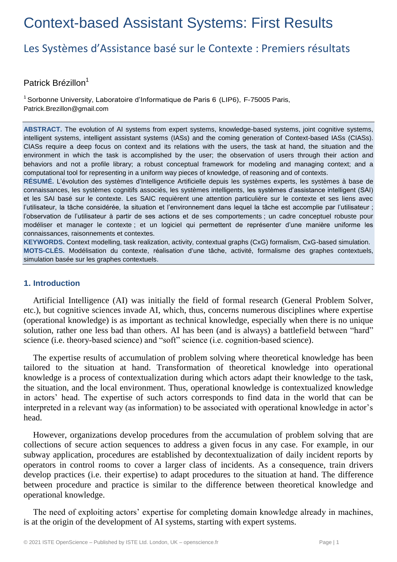# Context-based Assistant Systems: First Results

## Les Systèmes d'Assistance basé sur le Contexte : Premiers résultats

### Patrick Brézillon<sup>1</sup>

 $1$ Sorbonne University, Laboratoire d'Informatique de Paris 6 (LIP6), F-75005 Paris, Patrick.Brezillon@gmail.com

**ABSTRACT.** The evolution of AI systems from expert systems, knowledge-based systems, joint cognitive systems, intelligent systems, intelligent assistant systems (IASs) and the coming generation of Context-based IASs (CIASs). CIASs require a deep focus on context and its relations with the users, the task at hand, the situation and the environment in which the task is accomplished by the user; the observation of users through their action and behaviors and not a profile library; a robust conceptual framework for modeling and managing context; and a computational tool for representing in a uniform way pieces of knowledge, of reasoning and of contexts.

**RÉSUMÉ.** L'évolution des systèmes d'Intelligence Artificielle depuis les systèmes experts, les systèmes à base de connaissances, les systèmes cognitifs associés, les systèmes intelligents, les systèmes d'assistance intelligent (SAI) et les SAI basé sur le contexte. Les SAIC requièrent une attention particulière sur le contexte et ses liens avec l'utilisateur, la tâche considérée, la situation et l'environnement dans lequel la tâche est accomplie par l'utilisateur ; l'observation de l'utilisateur à partir de ses actions et de ses comportements ; un cadre conceptuel robuste pour modéliser et manager le contexte ; et un logiciel qui permettent de représenter d'une manière uniforme les connaissances, raisonnements et contextes.

**KEYWORDS.** Context modelling, task realization, activity, contextual graphs (CxG) formalism, CxG-based simulation. **MOTS-CLÉS.** Modélisation du contexte, réalisation d'une tâche, activité, formalisme des graphes contextuels, simulation basée sur les graphes contextuels.

#### **1. Introduction**

Artificial Intelligence (AI) was initially the field of formal research (General Problem Solver, etc.), but cognitive sciences invade AI, which, thus, concerns numerous disciplines where expertise (operational knowledge) is as important as technical knowledge, especially when there is no unique solution, rather one less bad than others. AI has been (and is always) a battlefield between "hard" science (i.e. theory-based science) and "soft" science (i.e. cognition-based science).

The expertise results of accumulation of problem solving where theoretical knowledge has been tailored to the situation at hand. Transformation of theoretical knowledge into operational knowledge is a process of contextualization during which actors adapt their knowledge to the task, the situation, and the local environment. Thus, operational knowledge is contextualized knowledge in actors' head. The expertise of such actors corresponds to find data in the world that can be interpreted in a relevant way (as information) to be associated with operational knowledge in actor's head.

However, organizations develop procedures from the accumulation of problem solving that are collections of secure action sequences to address a given focus in any case. For example, in our subway application, procedures are established by decontextualization of daily incident reports by operators in control rooms to cover a larger class of incidents. As a consequence, train drivers develop practices (i.e. their expertise) to adapt procedures to the situation at hand. The difference between procedure and practice is similar to the difference between theoretical knowledge and operational knowledge.

The need of exploiting actors' expertise for completing domain knowledge already in machines, is at the origin of the development of AI systems, starting with expert systems.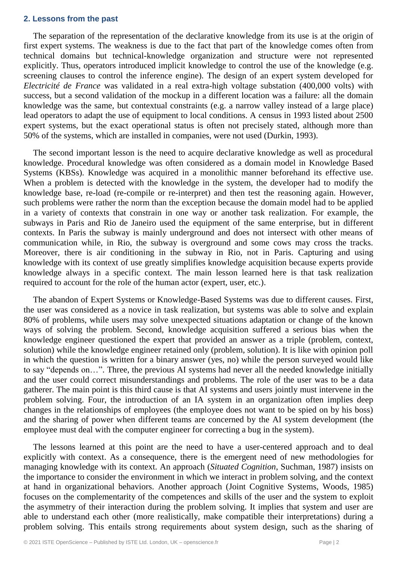#### **2. Lessons from the past**

The separation of the representation of the declarative knowledge from its use is at the origin of first expert systems. The weakness is due to the fact that part of the knowledge comes often from technical domains but technical-knowledge organization and structure were not represented explicitly. Thus, operators introduced implicit knowledge to control the use of the knowledge (e.g. screening clauses to control the inference engine). The design of an expert system developed for *Electricité de France* was validated in a real extra-high voltage substation (400,000 volts) with success, but a second validation of the mockup in a different location was a failure: all the domain knowledge was the same, but contextual constraints (e.g. a narrow valley instead of a large place) lead operators to adapt the use of equipment to local conditions. A census in 1993 listed about 2500 expert systems, but the exact operational status is often not precisely stated, although more than 50% of the systems, which are installed in companies, were not used (Durkin, 1993).

The second important lesson is the need to acquire declarative knowledge as well as procedural knowledge. Procedural knowledge was often considered as a domain model in Knowledge Based Systems (KBSs). Knowledge was acquired in a monolithic manner beforehand its effective use. When a problem is detected with the knowledge in the system, the developer had to modify the knowledge base, re-load (re-compile or re-interpret) and then test the reasoning again. However, such problems were rather the norm than the exception because the domain model had to be applied in a variety of contexts that constrain in one way or another task realization. For example, the subways in Paris and Rio de Janeiro used the equipment of the same enterprise, but in different contexts. In Paris the subway is mainly underground and does not intersect with other means of communication while, in Rio, the subway is overground and some cows may cross the tracks. Moreover, there is air conditioning in the subway in Rio, not in Paris. Capturing and using knowledge with its context of use greatly simplifies knowledge acquisition because experts provide knowledge always in a specific context. The main lesson learned here is that task realization required to account for the role of the human actor (expert, user, etc.).

The abandon of Expert Systems or Knowledge-Based Systems was due to different causes. First, the user was considered as a novice in task realization, but systems was able to solve and explain 80% of problems, while users may solve unexpected situations adaptation or change of the known ways of solving the problem. Second, knowledge acquisition suffered a serious bias when the knowledge engineer questioned the expert that provided an answer as a triple (problem, context, solution) while the knowledge engineer retained only (problem, solution). It is like with opinion poll in which the question is written for a binary answer (yes, no) while the person surveyed would like to say "depends on…". Three, the previous AI systems had never all the needed knowledge initially and the user could correct misunderstandings and problems. The role of the user was to be a data gatherer. The main point is this third cause is that AI systems and users jointly must intervene in the problem solving. Four, the introduction of an IA system in an organization often implies deep changes in the relationships of employees (the employee does not want to be spied on by his boss) and the sharing of power when different teams are concerned by the AI system development (the employee must deal with the computer engineer for correcting a bug in the system).

The lessons learned at this point are the need to have a user-centered approach and to deal explicitly with context. As a consequence, there is the emergent need of new methodologies for managing knowledge with its context. An approach (*Situated Cognition*, Suchman, 1987) insists on the importance to consider the environment in which we interact in problem solving, and the context at hand in organizational behaviors. Another approach (Joint Cognitive Systems, Woods, 1985) focuses on the complementarity of the competences and skills of the user and the system to exploit the asymmetry of their interaction during the problem solving. It implies that system and user are able to understand each other (more realistically, make compatible their interpretations) during a problem solving. This entails strong requirements about system design, such as the sharing of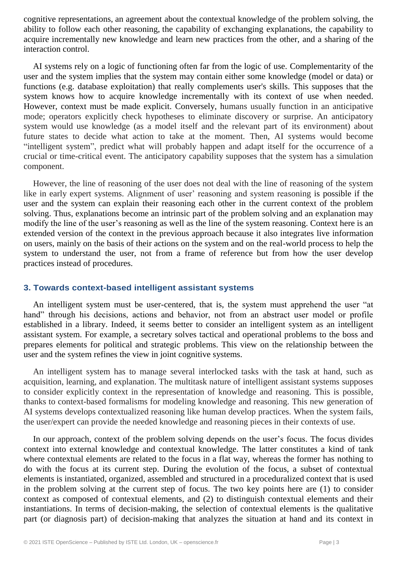cognitive representations, an agreement about the contextual knowledge of the problem solving, the ability to follow each other reasoning, the capability of exchanging explanations, the capability to acquire incrementally new knowledge and learn new practices from the other, and a sharing of the interaction control.

AI systems rely on a logic of functioning often far from the logic of use. Complementarity of the user and the system implies that the system may contain either some knowledge (model or data) or functions (e.g. database exploitation) that really complements user's skills. This supposes that the system knows how to acquire knowledge incrementally with its context of use when needed. However, context must be made explicit. Conversely, humans usually function in an anticipative mode; operators explicitly check hypotheses to eliminate discovery or surprise. An anticipatory system would use knowledge (as a model itself and the relevant part of its environment) about future states to decide what action to take at the moment. Then, AI systems would become "intelligent system", predict what will probably happen and adapt itself for the occurrence of a crucial or time-critical event. The anticipatory capability supposes that the system has a simulation component.

However, the line of reasoning of the user does not deal with the line of reasoning of the system like in early expert systems. Alignment of user' reasoning and system reasoning is possible if the user and the system can explain their reasoning each other in the current context of the problem solving. Thus, explanations become an intrinsic part of the problem solving and an explanation may modify the line of the user's reasoning as well as the line of the system reasoning. Context here is an extended version of the context in the previous approach because it also integrates live information on users, mainly on the basis of their actions on the system and on the real-world process to help the system to understand the user, not from a frame of reference but from how the user develop practices instead of procedures.

#### **3. Towards context-based intelligent assistant systems**

An intelligent system must be user-centered, that is, the system must apprehend the user "at hand" through his decisions, actions and behavior, not from an abstract user model or profile established in a library. Indeed, it seems better to consider an intelligent system as an intelligent assistant system. For example, a secretary solves tactical and operational problems to the boss and prepares elements for political and strategic problems. This view on the relationship between the user and the system refines the view in joint cognitive systems.

An intelligent system has to manage several interlocked tasks with the task at hand, such as acquisition, learning, and explanation. The multitask nature of intelligent assistant systems supposes to consider explicitly context in the representation of knowledge and reasoning. This is possible, thanks to context-based formalisms for modeling knowledge and reasoning. This new generation of AI systems develops contextualized reasoning like human develop practices. When the system fails, the user/expert can provide the needed knowledge and reasoning pieces in their contexts of use.

In our approach, context of the problem solving depends on the user's focus. The focus divides context into external knowledge and contextual knowledge. The latter constitutes a kind of tank where contextual elements are related to the focus in a flat way, whereas the former has nothing to do with the focus at its current step. During the evolution of the focus, a subset of contextual elements is instantiated, organized, assembled and structured in a proceduralized context that is used in the problem solving at the current step of focus. The two key points here are (1) to consider context as composed of contextual elements, and (2) to distinguish contextual elements and their instantiations. In terms of decision-making, the selection of contextual elements is the qualitative part (or diagnosis part) of decision-making that analyzes the situation at hand and its context in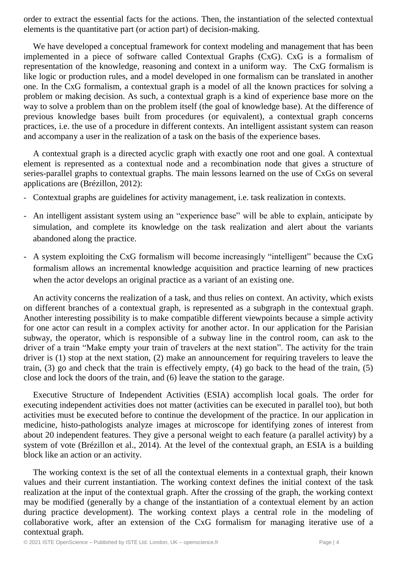order to extract the essential facts for the actions. Then, the instantiation of the selected contextual elements is the quantitative part (or action part) of decision-making.

We have developed a conceptual framework for context modeling and management that has been implemented in a piece of software called Contextual Graphs (CxG). CxG is a formalism of representation of the knowledge, reasoning and context in a uniform way. The CxG formalism is like logic or production rules, and a model developed in one formalism can be translated in another one. In the CxG formalism, a contextual graph is a model of all the known practices for solving a problem or making decision. As such, a contextual graph is a kind of experience base more on the way to solve a problem than on the problem itself (the goal of knowledge base). At the difference of previous knowledge bases built from procedures (or equivalent), a contextual graph concerns practices, i.e. the use of a procedure in different contexts. An intelligent assistant system can reason and accompany a user in the realization of a task on the basis of the experience bases.

A contextual graph is a directed acyclic graph with exactly one root and one goal. A contextual element is represented as a contextual node and a recombination node that gives a structure of series-parallel graphs to contextual graphs. The main lessons learned on the use of CxGs on several applications are (Brézillon, 2012):

- Contextual graphs are guidelines for activity management, i.e. task realization in contexts.
- An intelligent assistant system using an "experience base" will be able to explain, anticipate by simulation, and complete its knowledge on the task realization and alert about the variants abandoned along the practice.
- A system exploiting the CxG formalism will become increasingly "intelligent" because the CxG formalism allows an incremental knowledge acquisition and practice learning of new practices when the actor develops an original practice as a variant of an existing one.

An activity concerns the realization of a task, and thus relies on context. An activity, which exists on different branches of a contextual graph, is represented as a subgraph in the contextual graph. Another interesting possibility is to make compatible different viewpoints because a simple activity for one actor can result in a complex activity for another actor. In our application for the Parisian subway, the operator, which is responsible of a subway line in the control room, can ask to the driver of a train "Make empty your train of travelers at the next station". The activity for the train driver is (1) stop at the next station, (2) make an announcement for requiring travelers to leave the train, (3) go and check that the train is effectively empty, (4) go back to the head of the train, (5) close and lock the doors of the train, and (6) leave the station to the garage.

Executive Structure of Independent Activities (ESIA) accomplish local goals. The order for executing independent activities does not matter (activities can be executed in parallel too), but both activities must be executed before to continue the development of the practice. In our application in medicine, histo-pathologists analyze images at microscope for identifying zones of interest from about 20 independent features. They give a personal weight to each feature (a parallel activity) by a system of vote (Brézillon et al., 2014). At the level of the contextual graph, an ESIA is a building block like an action or an activity.

The working context is the set of all the contextual elements in a contextual graph, their known values and their current instantiation. The working context defines the initial context of the task realization at the input of the contextual graph. After the crossing of the graph, the working context may be modified (generally by a change of the instantiation of a contextual element by an action during practice development). The working context plays a central role in the modeling of collaborative work, after an extension of the CxG formalism for managing iterative use of a contextual graph.